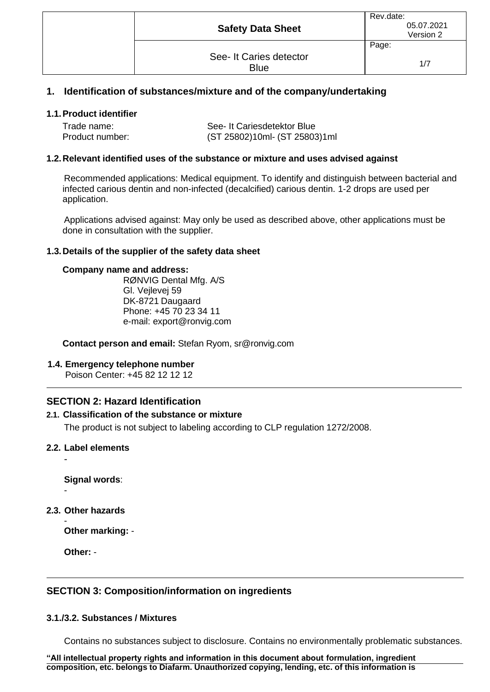| <b>Safety Data Sheet</b>               | Rev.date:<br>05.07.2021<br>Version 2 |
|----------------------------------------|--------------------------------------|
|                                        | Page:                                |
| See- It Caries detector<br><b>Blue</b> | 1/7                                  |

### **1. Identification of substances/mixture and of the company/undertaking**

### **1.1.Product identifier**

| Trade name:     | See- It Cariesdetektor Blue   |  |
|-----------------|-------------------------------|--|
| Product number: | (ST 25802)10ml- (ST 25803)1ml |  |

#### **1.2.Relevant identified uses of the substance or mixture and uses advised against**

Recommended applications: Medical equipment. To identify and distinguish between bacterial and infected carious dentin and non-infected (decalcified) carious dentin. 1-2 drops are used per application.

Applications advised against: May only be used as described above, other applications must be done in consultation with the supplier.

#### **1.3.Details of the supplier of the safety data sheet**

#### **Company name and address:**

RØNVIG Dental Mfg. A/S Gl. Vejlevej 59 DK-8721 Daugaard Phone: +45 70 23 34 11 e-mail: export@ronvig.com

**Contact person and email:** Stefan Ryom, sr@ronvig.com

### **1.4. Emergency telephone number**

Poison Center: +45 82 12 12 12

# **SECTION 2: Hazard Identification**

### **2.1. Classification of the substance or mixture**

The product is not subject to labeling according to CLP regulation 1272/2008.

#### **2.2. Label elements**

-

**Signal words**: -

**2.3. Other hazards**

- **Other marking:** -

**Other:** -

# **SECTION 3: Composition/information on ingredients**

#### **3.1./3.2. Substances / Mixtures**

Contains no substances subject to disclosure. Contains no environmentally problematic substances.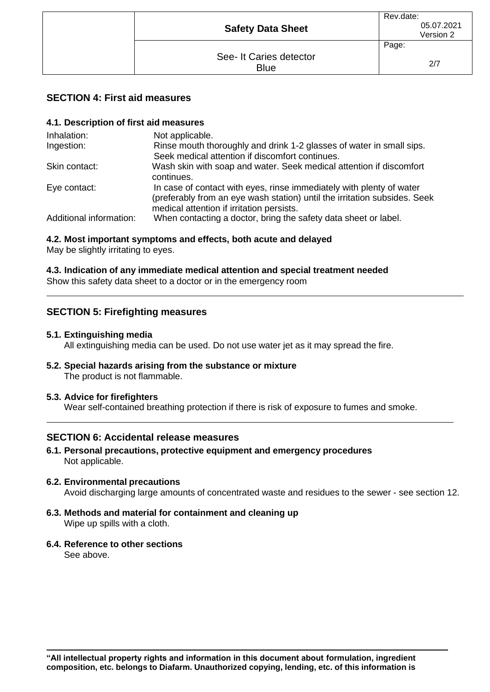| <b>Safety Data Sheet</b> | Rev.date:<br>05.07.2021<br>Version 2 |
|--------------------------|--------------------------------------|
| See- It Caries detector  | Page:                                |
| <b>Blue</b>              | 2/7                                  |

### **SECTION 4: First aid measures**

### **4.1. Description of first aid measures**

| Inhalation:             | Not applicable.                                                                                                                                                                                |
|-------------------------|------------------------------------------------------------------------------------------------------------------------------------------------------------------------------------------------|
| Ingestion:              | Rinse mouth thoroughly and drink 1-2 glasses of water in small sips.<br>Seek medical attention if discomfort continues.                                                                        |
| Skin contact:           | Wash skin with soap and water. Seek medical attention if discomfort<br>continues.                                                                                                              |
| Eye contact:            | In case of contact with eyes, rinse immediately with plenty of water<br>(preferably from an eye wash station) until the irritation subsides. Seek<br>medical attention if irritation persists. |
| Additional information: | When contacting a doctor, bring the safety data sheet or label.                                                                                                                                |

# **4.2. Most important symptoms and effects, both acute and delayed**

May be slightly irritating to eyes.

### **4.3. Indication of any immediate medical attention and special treatment needed** Show this safety data sheet to a doctor or in the emergency room

# **SECTION 5: Firefighting measures**

### **5.1. Extinguishing media**

All extinguishing media can be used. Do not use water jet as it may spread the fire.

**5.2. Special hazards arising from the substance or mixture** The product is not flammable.

### **5.3. Advice for firefighters**

Wear self-contained breathing protection if there is risk of exposure to fumes and smoke.

# **SECTION 6: Accidental release measures**

- **6.1. Personal precautions, protective equipment and emergency procedures** Not applicable.
- **6.2. Environmental precautions** Avoid discharging large amounts of concentrated waste and residues to the sewer - see section 12.
- **6.3. Methods and material for containment and cleaning up** Wipe up spills with a cloth.
- **6.4. Reference to other sections** See above.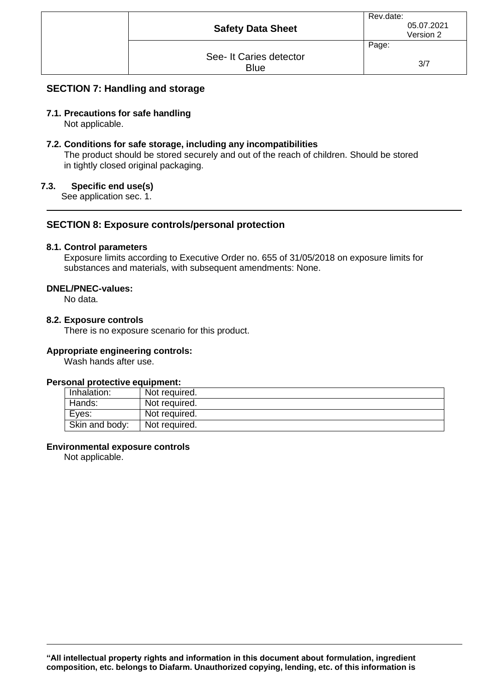| <b>Safety Data Sheet</b>               | Rev.date:<br>05.07.2021<br>Version 2 |
|----------------------------------------|--------------------------------------|
| See- It Caries detector<br><b>Blue</b> | Page:<br>3/7                         |

# **SECTION 7: Handling and storage**

### **7.1. Precautions for safe handling**

Not applicable.

### **7.2. Conditions for safe storage, including any incompatibilities**

The product should be stored securely and out of the reach of children. Should be stored in tightly closed original packaging.

#### **7.3. Specific end use(s)**

See application sec. 1.

### **SECTION 8: Exposure controls/personal protection**

#### **8.1. Control parameters**

Exposure limits according to Executive Order no. 655 of 31/05/2018 on exposure limits for substances and materials, with subsequent amendments: None.

#### **DNEL/PNEC-values:**

No data.

#### **8.2. Exposure controls**

There is no exposure scenario for this product.

#### **Appropriate engineering controls:**

Wash hands after use.

### **Personal protective equipment:**

| Inhalation:    | Not required. |
|----------------|---------------|
| Hands:         | Not required. |
| Eves:          | Not required. |
| Skin and body: | Not required. |

#### **Environmental exposure controls**

Not applicable.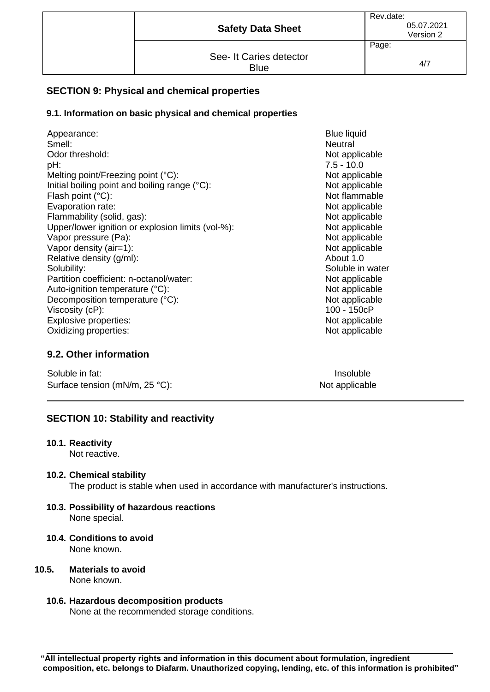| <b>Safety Data Sheet</b>               | Rev.date:<br>05.07.2021<br>Version 2 |
|----------------------------------------|--------------------------------------|
|                                        | Page:                                |
| See- It Caries detector<br><b>Blue</b> | 4/7                                  |

# **SECTION 9: Physical and chemical properties**

### **9.1. Information on basic physical and chemical properties**

| Appearance:                                       | <b>Blue liquid</b> |
|---------------------------------------------------|--------------------|
| Smell:                                            | Neutral            |
| Odor threshold:                                   | Not applid         |
| pH:                                               | $7.5 - 10.0$       |
| Melting point/Freezing point (°C):                | Not applid         |
| Initial boiling point and boiling range (°C):     | Not applid         |
| Flash point (°C):                                 | Not flamn          |
| Evaporation rate:                                 | Not applid         |
| Flammability (solid, gas):                        | Not applid         |
| Upper/lower ignition or explosion limits (vol-%): | Not applic         |
| Vapor pressure (Pa):                              | Not applid         |
| Vapor density (air=1):                            | Not applid         |
| Relative density (g/ml):                          | About 1.0          |
| Solubility:                                       | Soluble ir         |
| Partition coefficient: n-octanol/water:           | Not applid         |
| Auto-ignition temperature (°C):                   | Not applid         |
| Decomposition temperature (°C):                   | Not applid         |
| Viscosity (cP):                                   | 100 - 150          |
| <b>Explosive properties:</b>                      | Not applid         |
| Oxidizing properties:                             | Not applid         |

### **9.2. Other information**

Soluble in fat: Insoluble in fat: Insoluble in the Insoluble in the Insoluble in the Insoluble in the Insoluble Surface tension (mN/m, 25 °C): Not applicable

**Blue liquid** Not applicable  $7.5 - 10.0$ Not applicable Not applicable Not flammable Not applicable Not applicable Not applicable Not applicable Not applicable Soluble in water Not applicable Not applicable Not applicable 100 - 150cP Not applicable Not applicable

#### **SECTION 10: Stability and reactivity**

#### **10.1. Reactivity**

Not reactive.

**10.2. Chemical stability**

The product is stable when used in accordance with manufacturer's instructions.

- **10.3. Possibility of hazardous reactions** None special.
- **10.4. Conditions to avoid** None known.
- **10.5. Materials to avoid** None known.

#### **10.6. Hazardous decomposition products** None at the recommended storage conditions.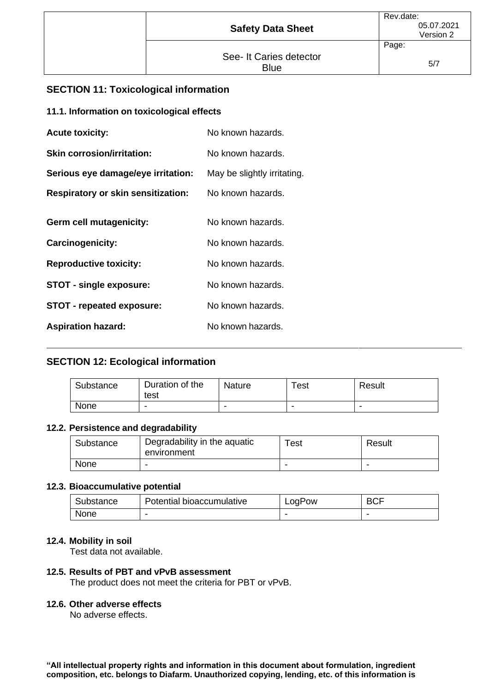| <b>Safety Data Sheet</b>               | Rev.date:<br>05.07.2021<br>Version 2 |
|----------------------------------------|--------------------------------------|
|                                        | Page:                                |
| See- It Caries detector<br><b>Blue</b> | 5/7                                  |

# **SECTION 11: Toxicological information**

### **11.1. Information on toxicological effects**

| <b>Acute toxicity:</b>                    | No known hazards.           |
|-------------------------------------------|-----------------------------|
| <b>Skin corrosion/irritation:</b>         | No known hazards.           |
| Serious eye damage/eye irritation:        | May be slightly irritating. |
| <b>Respiratory or skin sensitization:</b> | No known hazards.           |
| <b>Germ cell mutagenicity:</b>            | No known hazards.           |
| Carcinogenicity:                          | No known hazards.           |
| <b>Reproductive toxicity:</b>             | No known hazards.           |
| <b>STOT - single exposure:</b>            | No known hazards.           |
| <b>STOT - repeated exposure:</b>          | No known hazards.           |
| <b>Aspiration hazard:</b>                 | No known hazards.           |

# **SECTION 12: Ecological information**

| Substance | Duration of the<br>test | Nature | $\tau_{\mathsf{est}}$ | Result |
|-----------|-------------------------|--------|-----------------------|--------|
| None      | -                       |        | -                     | -      |

### **12.2. Persistence and degradability**

| Substance | Degradability in the aquatic<br>environment | ⊺est | Result |
|-----------|---------------------------------------------|------|--------|
| None      |                                             |      | -      |

#### **12.3. Bioaccumulative potential**

| Substance | Potential bioaccumulative | LogPow | <b>BCF</b> |
|-----------|---------------------------|--------|------------|
| None      | -                         |        | -          |

### **12.4. Mobility in soil**

Test data not available.

### **12.5. Results of PBT and vPvB assessment**

The product does not meet the criteria for PBT or vPvB.

### **12.6. Other adverse effects**

No adverse effects.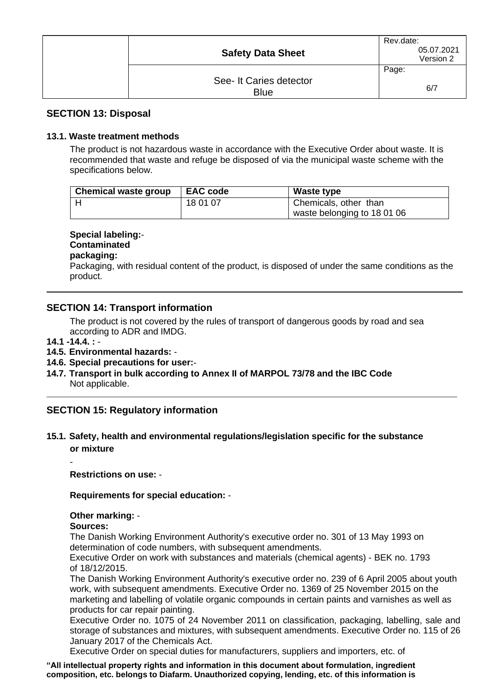| <b>Safety Data Sheet</b>               | Rev.date:<br>05.07.2021<br>Version 2 |
|----------------------------------------|--------------------------------------|
|                                        | Page:                                |
| See- It Caries detector<br><b>Blue</b> | 6/7                                  |

### **SECTION 13: Disposal**

### **13.1. Waste treatment methods**

The product is not hazardous waste in accordance with the Executive Order about waste. It is recommended that waste and refuge be disposed of via the municipal waste scheme with the specifications below.

| <b>Chemical waste group</b> | <b>EAC code</b> | Waste type                  |
|-----------------------------|-----------------|-----------------------------|
|                             | 18 01 07        | Chemicals, other than       |
|                             |                 | waste belonging to 18 01 06 |

### **Special labeling:**-

# **Contaminated**

# **packaging:**

Packaging, with residual content of the product, is disposed of under the same conditions as the product.

### **SECTION 14: Transport information**

The product is not covered by the rules of transport of dangerous goods by road and sea according to ADR and IMDG.

### **14.1 -14.4. :** -

-

### **14.5. Environmental hazards:** -

#### **14.6. Special precautions for user:**-

**14.7. Transport in bulk according to Annex II of MARPOL 73/78 and the IBC Code** Not applicable.

# **SECTION 15: Regulatory information**

### **15.1. Safety, health and environmental regulations/legislation specific for the substance or mixture**

**Restrictions on use:** -

### **Requirements for special education:** -

### **Other marking:** -

#### **Sources:**

The Danish Working Environment Authority's executive order no. 301 of 13 May 1993 on determination of code numbers, with subsequent amendments.

Executive Order on work with substances and materials (chemical agents) - BEK no. 1793 of 18/12/2015.

The Danish Working Environment Authority's executive order no. 239 of 6 April 2005 about youth work, with subsequent amendments. Executive Order no. 1369 of 25 November 2015 on the marketing and labelling of volatile organic compounds in certain paints and varnishes as well as products for car repair painting.

Executive Order no. 1075 of 24 November 2011 on classification, packaging, labelling, sale and storage of substances and mixtures, with subsequent amendments. Executive Order no. 115 of 26 January 2017 of the Chemicals Act.

Executive Order on special duties for manufacturers, suppliers and importers, etc. of

**"All intellectual property rights and information in this document about formulation, ingredient composition, etc. belongs to Diafarm. Unauthorized copying, lending, etc. of this information is**